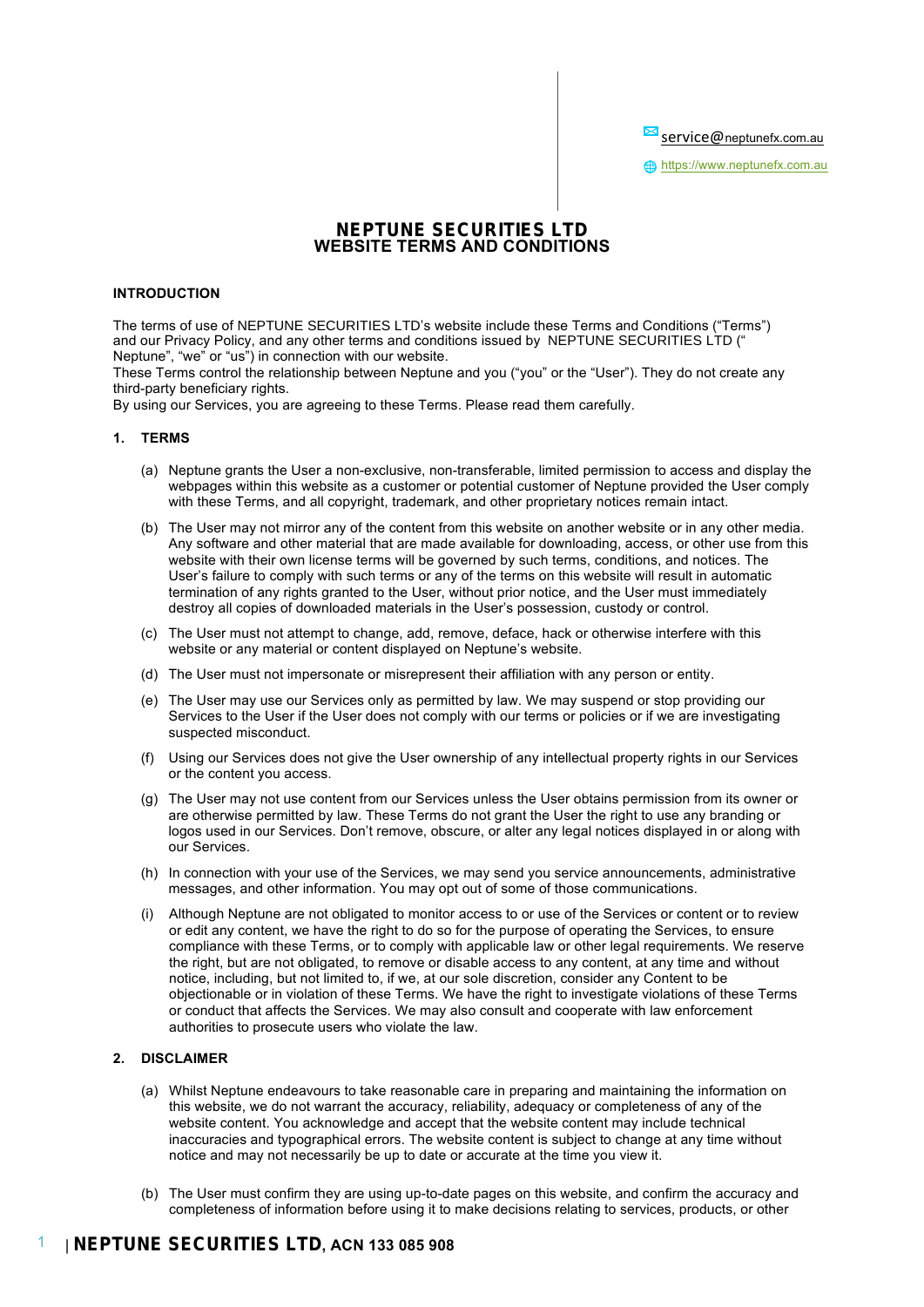Service@neptunefx.com.au

**fth** https://www.neptunefx.com.au

## **NEPTUNE SECURITIES LTD WEBSITE TERMS AND CONDITIONS**

#### **INTRODUCTION**

The terms of use of NEPTUNE SECURITIES LTD's website include these Terms and Conditions ("Terms") and our Privacy Policy, and any other terms and conditions issued by NEPTUNE SECURITIES LTD (" Neptune", "we" or "us") in connection with our website.

These Terms control the relationship between Neptune and you ("you" or the "User"). They do not create any third-party beneficiary rights.

By using our Services, you are agreeing to these Terms. Please read them carefully.

## **1. TERMS**

- (a) Neptune grants the User a non-exclusive, non-transferable, limited permission to access and display the webpages within this website as a customer or potential customer of Neptune provided the User comply with these Terms, and all copyright, trademark, and other proprietary notices remain intact.
- (b) The User may not mirror any of the content from this website on another website or in any other media. Any software and other material that are made available for downloading, access, or other use from this website with their own license terms will be governed by such terms, conditions, and notices. The User's failure to comply with such terms or any of the terms on this website will result in automatic termination of any rights granted to the User, without prior notice, and the User must immediately destroy all copies of downloaded materials in the User's possession, custody or control.
- (c) The User must not attempt to change, add, remove, deface, hack or otherwise interfere with this website or any material or content displayed on Neptune's website.
- (d) The User must not impersonate or misrepresent their affiliation with any person or entity.
- (e) The User may use our Services only as permitted by law. We may suspend or stop providing our Services to the User if the User does not comply with our terms or policies or if we are investigating suspected misconduct.
- (f) Using our Services does not give the User ownership of any intellectual property rights in our Services or the content you access.
- (g) The User may not use content from our Services unless the User obtains permission from its owner or are otherwise permitted by law. These Terms do not grant the User the right to use any branding or logos used in our Services. Don't remove, obscure, or alter any legal notices displayed in or along with our Services.
- (h) In connection with your use of the Services, we may send you service announcements, administrative messages, and other information. You may opt out of some of those communications.
- (i) Although Neptune are not obligated to monitor access to or use of the Services or content or to review or edit any content, we have the right to do so for the purpose of operating the Services, to ensure compliance with these Terms, or to comply with applicable law or other legal requirements. We reserve the right, but are not obligated, to remove or disable access to any content, at any time and without notice, including, but not limited to, if we, at our sole discretion, consider any Content to be objectionable or in violation of these Terms. We have the right to investigate violations of these Terms or conduct that affects the Services. We may also consult and cooperate with law enforcement authorities to prosecute users who violate the law.

#### **2. DISCLAIMER**

- (a) Whilst Neptune endeavours to take reasonable care in preparing and maintaining the information on this website, we do not warrant the accuracy, reliability, adequacy or completeness of any of the website content. You acknowledge and accept that the website content may include technical inaccuracies and typographical errors. The website content is subject to change at any time without notice and may not necessarily be up to date or accurate at the time you view it.
- (b) The User must confirm they are using up-to-date pages on this website, and confirm the accuracy and completeness of information before using it to make decisions relating to services, products, or other

# 1 | **NEPTUNE SECURITIES LTD, ACN 133 085 908**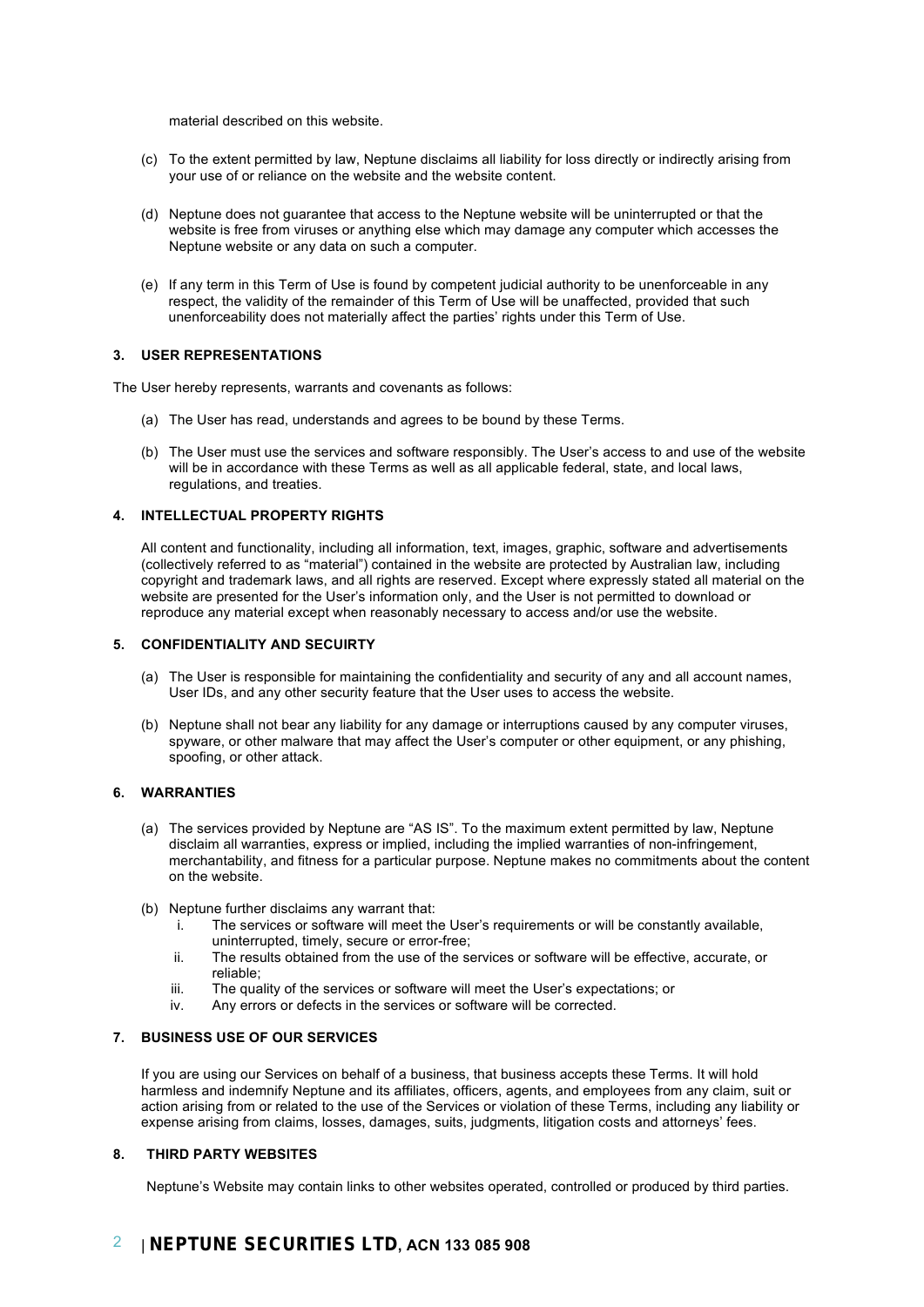material described on this website.

- (c) To the extent permitted by law, Neptune disclaims all liability for loss directly or indirectly arising from your use of or reliance on the website and the website content.
- (d) Neptune does not guarantee that access to the Neptune website will be uninterrupted or that the website is free from viruses or anything else which may damage any computer which accesses the Neptune website or any data on such a computer.
- (e) If any term in this Term of Use is found by competent judicial authority to be unenforceable in any respect, the validity of the remainder of this Term of Use will be unaffected, provided that such unenforceability does not materially affect the parties' rights under this Term of Use.

#### **3. USER REPRESENTATIONS**

The User hereby represents, warrants and covenants as follows:

- (a) The User has read, understands and agrees to be bound by these Terms.
- (b) The User must use the services and software responsibly. The User's access to and use of the website will be in accordance with these Terms as well as all applicable federal, state, and local laws, regulations, and treaties.

## **4. INTELLECTUAL PROPERTY RIGHTS**

All content and functionality, including all information, text, images, graphic, software and advertisements (collectively referred to as "material") contained in the website are protected by Australian law, including copyright and trademark laws, and all rights are reserved. Except where expressly stated all material on the website are presented for the User's information only, and the User is not permitted to download or reproduce any material except when reasonably necessary to access and/or use the website.

#### **5. CONFIDENTIALITY AND SECUIRTY**

- (a) The User is responsible for maintaining the confidentiality and security of any and all account names, User IDs, and any other security feature that the User uses to access the website.
- (b) Neptune shall not bear any liability for any damage or interruptions caused by any computer viruses, spyware, or other malware that may affect the User's computer or other equipment, or any phishing, spoofing, or other attack.

### **6. WARRANTIES**

- (a) The services provided by Neptune are "AS IS". To the maximum extent permitted by law, Neptune disclaim all warranties, express or implied, including the implied warranties of non-infringement, merchantability, and fitness for a particular purpose. Neptune makes no commitments about the content on the website.
- (b) Neptune further disclaims any warrant that:
	- i. The services or software will meet the User's requirements or will be constantly available, uninterrupted, timely, secure or error-free;
	- ii. The results obtained from the use of the services or software will be effective, accurate, or reliable;
	- iii. The quality of the services or software will meet the User's expectations; or
	- iv. Any errors or defects in the services or software will be corrected.

#### **7. BUSINESS USE OF OUR SERVICES**

If you are using our Services on behalf of a business, that business accepts these Terms. It will hold harmless and indemnify Neptune and its affiliates, officers, agents, and employees from any claim, suit or action arising from or related to the use of the Services or violation of these Terms, including any liability or expense arising from claims, losses, damages, suits, judgments, litigation costs and attorneys' fees.

#### **8. THIRD PARTY WEBSITES**

Neptune's Website may contain links to other websites operated, controlled or produced by third parties.

# 2 | **NEPTUNE SECURITIES LTD, ACN 133 085 908**